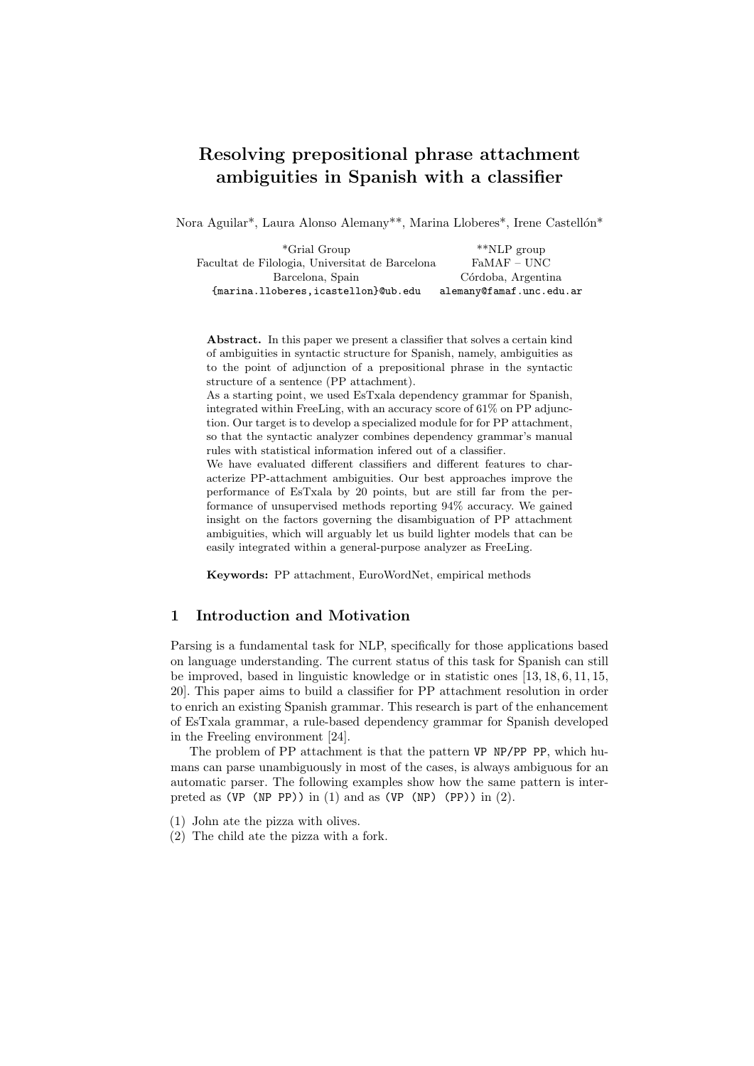# Resolving prepositional phrase attachment ambiguities in Spanish with a classifier

Nora Aguilar<sup>\*</sup>, Laura Alonso Alemany<sup>\*\*</sup>, Marina Lloberes<sup>\*</sup>, Irene Castellón<sup>\*</sup>

| *Grial Group                                    | $*$ NLP group            |
|-------------------------------------------------|--------------------------|
| Facultat de Filologia, Universitat de Barcelona | $FaMAF - UNC$            |
| Barcelona, Spain                                | Córdoba, Argentina       |
| {marina.lloberes,icastellon}@ub.edu             | alemany@famaf.unc.edu.ar |

Abstract. In this paper we present a classifier that solves a certain kind of ambiguities in syntactic structure for Spanish, namely, ambiguities as to the point of adjunction of a prepositional phrase in the syntactic structure of a sentence (PP attachment).

As a starting point, we used EsTxala dependency grammar for Spanish, integrated within FreeLing, with an accuracy score of 61% on PP adjunction. Our target is to develop a specialized module for for PP attachment, so that the syntactic analyzer combines dependency grammar's manual rules with statistical information infered out of a classifier.

We have evaluated different classifiers and different features to characterize PP-attachment ambiguities. Our best approaches improve the performance of EsTxala by 20 points, but are still far from the performance of unsupervised methods reporting 94% accuracy. We gained insight on the factors governing the disambiguation of PP attachment ambiguities, which will arguably let us build lighter models that can be easily integrated within a general-purpose analyzer as FreeLing.

Keywords: PP attachment, EuroWordNet, empirical methods

# 1 Introduction and Motivation

Parsing is a fundamental task for NLP, specifically for those applications based on language understanding. The current status of this task for Spanish can still be improved, based in linguistic knowledge or in statistic ones [13, 18, 6, 11, 15, 20]. This paper aims to build a classifier for PP attachment resolution in order to enrich an existing Spanish grammar. This research is part of the enhancement of EsTxala grammar, a rule-based dependency grammar for Spanish developed in the Freeling environment [24].

The problem of PP attachment is that the pattern VP NP/PP PP, which humans can parse unambiguously in most of the cases, is always ambiguous for an automatic parser. The following examples show how the same pattern is interpreted as  $(VP (NP PP))$  in  $(1)$  and as  $(VP (NP) (PP))$  in  $(2)$ .

- (1) John ate the pizza with olives.
- (2) The child ate the pizza with a fork.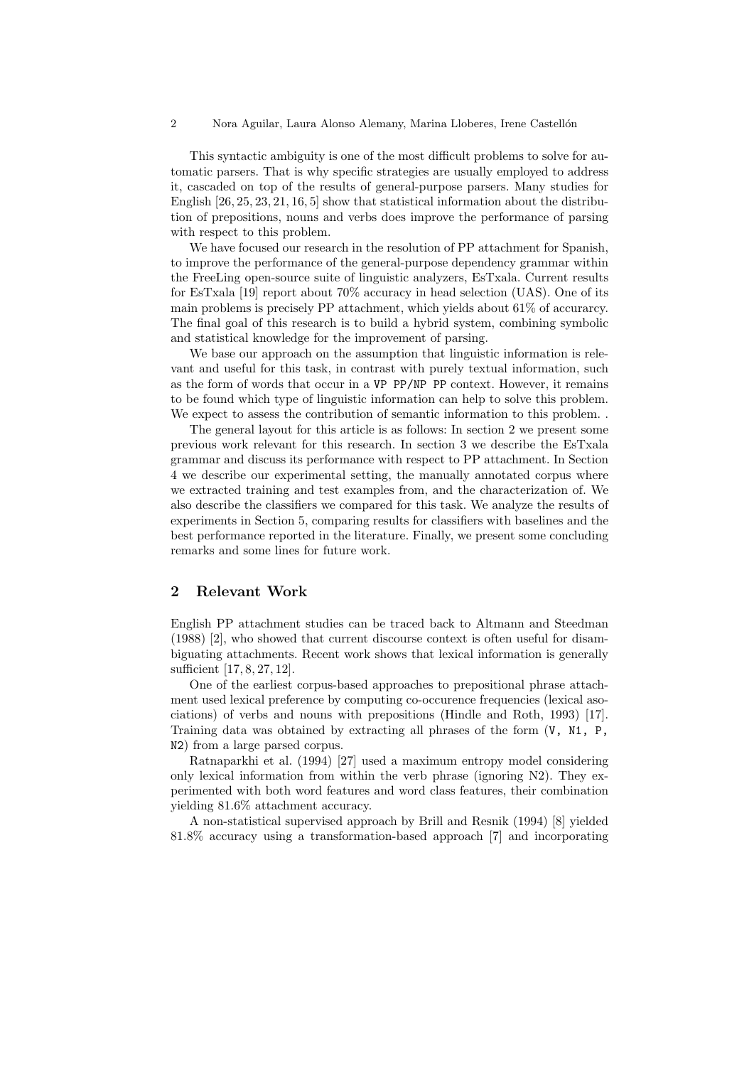2 Nora Aguilar, Laura Alonso Alemany, Marina Lloberes, Irene Castellón

This syntactic ambiguity is one of the most difficult problems to solve for automatic parsers. That is why specific strategies are usually employed to address it, cascaded on top of the results of general-purpose parsers. Many studies for English [26, 25, 23, 21, 16, 5] show that statistical information about the distribution of prepositions, nouns and verbs does improve the performance of parsing with respect to this problem.

We have focused our research in the resolution of PP attachment for Spanish, to improve the performance of the general-purpose dependency grammar within the FreeLing open-source suite of linguistic analyzers, EsTxala. Current results for EsTxala [19] report about 70% accuracy in head selection (UAS). One of its main problems is precisely PP attachment, which yields about 61% of accurarcy. The final goal of this research is to build a hybrid system, combining symbolic and statistical knowledge for the improvement of parsing.

We base our approach on the assumption that linguistic information is relevant and useful for this task, in contrast with purely textual information, such as the form of words that occur in a VP PP/NP PP context. However, it remains to be found which type of linguistic information can help to solve this problem. We expect to assess the contribution of semantic information to this problem..

The general layout for this article is as follows: In section 2 we present some previous work relevant for this research. In section 3 we describe the EsTxala grammar and discuss its performance with respect to PP attachment. In Section 4 we describe our experimental setting, the manually annotated corpus where we extracted training and test examples from, and the characterization of. We also describe the classifiers we compared for this task. We analyze the results of experiments in Section 5, comparing results for classifiers with baselines and the best performance reported in the literature. Finally, we present some concluding remarks and some lines for future work.

## 2 Relevant Work

English PP attachment studies can be traced back to Altmann and Steedman (1988) [2], who showed that current discourse context is often useful for disambiguating attachments. Recent work shows that lexical information is generally sufficient [17, 8, 27, 12].

One of the earliest corpus-based approaches to prepositional phrase attachment used lexical preference by computing co-occurence frequencies (lexical asociations) of verbs and nouns with prepositions (Hindle and Roth, 1993) [17]. Training data was obtained by extracting all phrases of the form (V, N1, P, N2) from a large parsed corpus.

Ratnaparkhi et al. (1994) [27] used a maximum entropy model considering only lexical information from within the verb phrase (ignoring  $N2$ ). They experimented with both word features and word class features, their combination yielding 81.6% attachment accuracy.

A non-statistical supervised approach by Brill and Resnik (1994) [8] yielded 81.8% accuracy using a transformation-based approach [7] and incorporating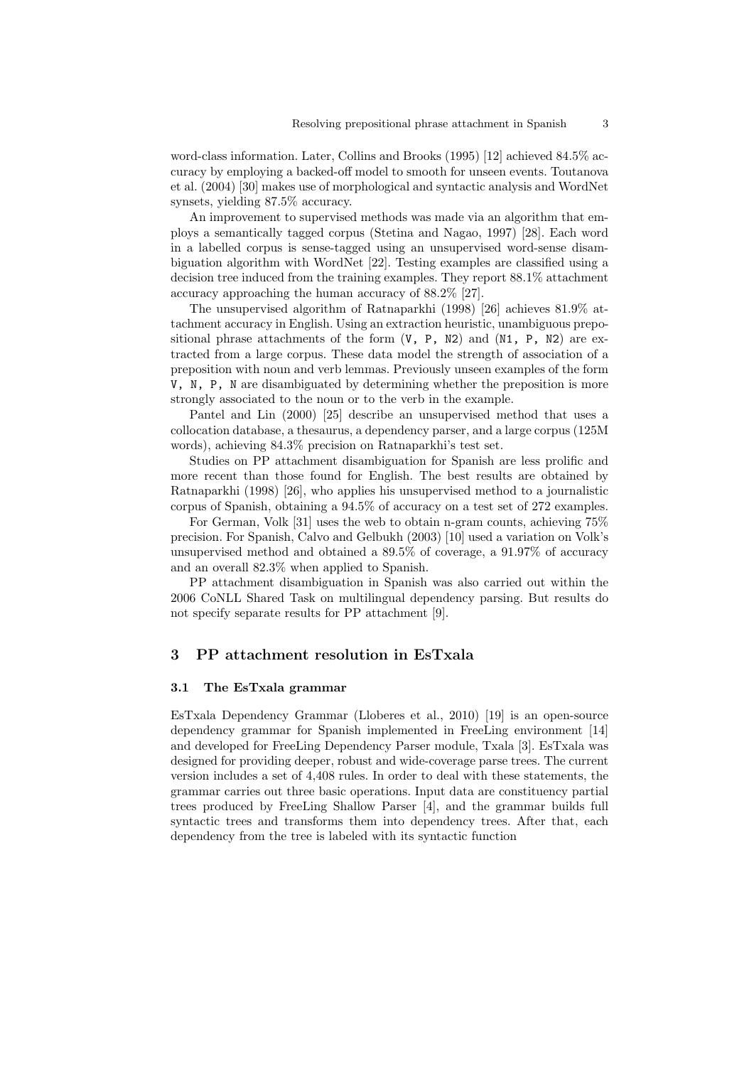word-class information. Later, Collins and Brooks (1995) [12] achieved 84.5% accuracy by employing a backed-off model to smooth for unseen events. Toutanova et al. (2004) [30] makes use of morphological and syntactic analysis and WordNet synsets, yielding 87.5% accuracy.

An improvement to supervised methods was made via an algorithm that employs a semantically tagged corpus (Stetina and Nagao, 1997) [28]. Each word in a labelled corpus is sense-tagged using an unsupervised word-sense disambiguation algorithm with WordNet [22]. Testing examples are classified using a decision tree induced from the training examples. They report 88.1% attachment accuracy approaching the human accuracy of 88.2% [27].

The unsupervised algorithm of Ratnaparkhi (1998) [26] achieves 81.9% attachment accuracy in English. Using an extraction heuristic, unambiguous prepositional phrase attachments of the form  $(V, P, N2)$  and  $(N1, P, N2)$  are extracted from a large corpus. These data model the strength of association of a preposition with noun and verb lemmas. Previously unseen examples of the form V, N, P, N are disambiguated by determining whether the preposition is more strongly associated to the noun or to the verb in the example.

Pantel and Lin (2000) [25] describe an unsupervised method that uses a collocation database, a thesaurus, a dependency parser, and a large corpus (125M words), achieving 84.3% precision on Ratnaparkhi's test set.

Studies on PP attachment disambiguation for Spanish are less prolific and more recent than those found for English. The best results are obtained by Ratnaparkhi (1998) [26], who applies his unsupervised method to a journalistic corpus of Spanish, obtaining a 94.5% of accuracy on a test set of 272 examples.

For German, Volk [31] uses the web to obtain n-gram counts, achieving 75% precision. For Spanish, Calvo and Gelbukh (2003) [10] used a variation on Volk's unsupervised method and obtained a 89.5% of coverage, a 91.97% of accuracy and an overall 82.3% when applied to Spanish.

PP attachment disambiguation in Spanish was also carried out within the 2006 CoNLL Shared Task on multilingual dependency parsing. But results do not specify separate results for PP attachment [9].

#### 3 PP attachment resolution in EsTxala

#### 3.1 The EsTxala grammar

EsTxala Dependency Grammar (Lloberes et al., 2010) [19] is an open-source dependency grammar for Spanish implemented in FreeLing environment [14] and developed for FreeLing Dependency Parser module, Txala [3]. EsTxala was designed for providing deeper, robust and wide-coverage parse trees. The current version includes a set of 4,408 rules. In order to deal with these statements, the grammar carries out three basic operations. Input data are constituency partial trees produced by FreeLing Shallow Parser [4], and the grammar builds full syntactic trees and transforms them into dependency trees. After that, each dependency from the tree is labeled with its syntactic function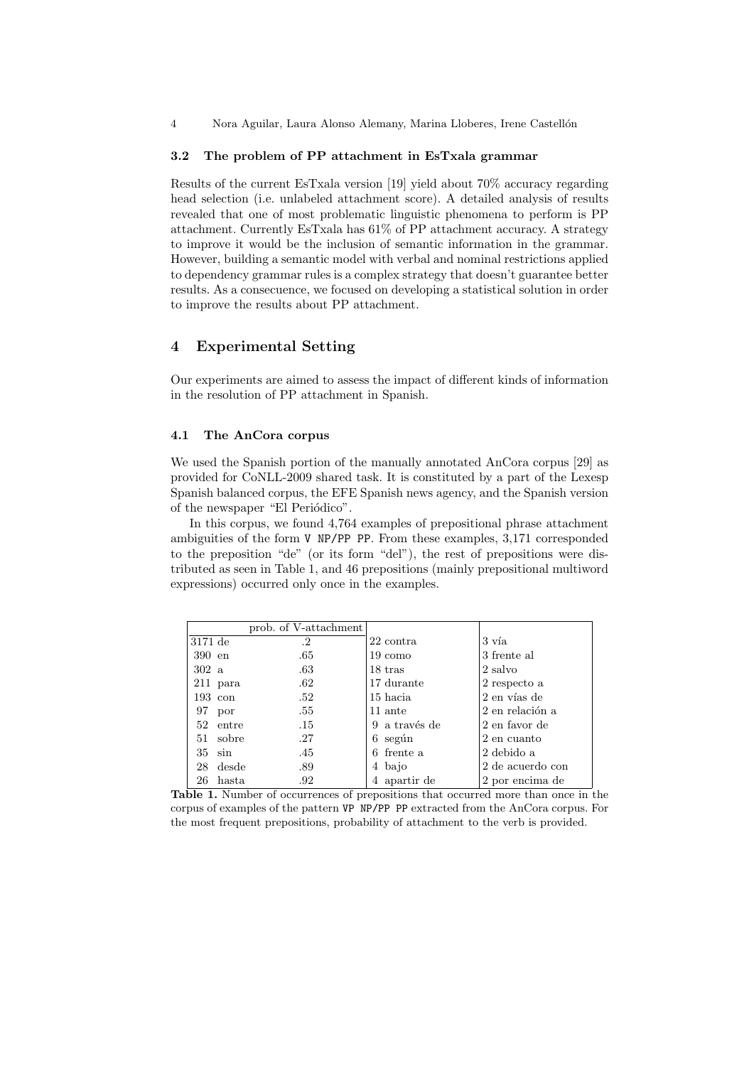4 Nora Aguilar, Laura Alonso Alemany, Marina Lloberes, Irene Castellón

#### 3.2 The problem of PP attachment in EsTxala grammar

Results of the current EsTxala version [19] yield about 70% accuracy regarding head selection (i.e. unlabeled attachment score). A detailed analysis of results revealed that one of most problematic linguistic phenomena to perform is PP attachment. Currently EsTxala has 61% of PP attachment accuracy. A strategy to improve it would be the inclusion of semantic information in the grammar. However, building a semantic model with verbal and nominal restrictions applied to dependency grammar rules is a complex strategy that doesn't guarantee better results. As a consecuence, we focused on developing a statistical solution in order to improve the results about PP attachment.

## 4 Experimental Setting

Our experiments are aimed to assess the impact of different kinds of information in the resolution of PP attachment in Spanish.

#### 4.1 The AnCora corpus

We used the Spanish portion of the manually annotated AnCora corpus [29] as provided for CoNLL-2009 shared task. It is constituted by a part of the Lexesp Spanish balanced corpus, the EFE Spanish news agency, and the Spanish version of the newspaper "El Periódico".

In this corpus, we found 4,764 examples of prepositional phrase attachment ambiguities of the form V NP/PP PP. From these examples, 3,171 corresponded to the preposition "de" (or its form "del"), the rest of prepositions were distributed as seen in Table 1, and 46 prepositions (mainly prepositional multiword expressions) occurred only once in the examples.

|           |                   | prob. of V-attachment |               |                  |
|-----------|-------------------|-----------------------|---------------|------------------|
| $3171$ de |                   | $\cdot^2$             | 22 contra     | 3 vía            |
| 390 en    |                   | .65                   | 19 como       | 3 frente al      |
| 302a      |                   | .63                   | 18 tras       | 2 salvo          |
|           | $211$ para        | .62                   | 17 durante    | 2 respecto a     |
|           | $193 \text{ con}$ | .52                   | 15 hacia      | 2 en vías de     |
| 97        | por               | .55                   | 11 ante       | 2 en relación a  |
|           | 52 entre          | .15                   | 9 a través de | 2 en favor de    |
|           | 51 sobre          | .27                   | $6$ según     | 2 en cuanto      |
|           | $35 \sin$         | .45                   | 6 frente a    | 2 debido a       |
| 28        | desde             | .89                   | 4 bajo        | 2 de acuerdo con |
| 26        | hasta             | .92                   | 4 apartir de  | 2 por encima de  |

Table 1. Number of occurrences of prepositions that occurred more than once in the corpus of examples of the pattern VP NP/PP PP extracted from the AnCora corpus. For the most frequent prepositions, probability of attachment to the verb is provided.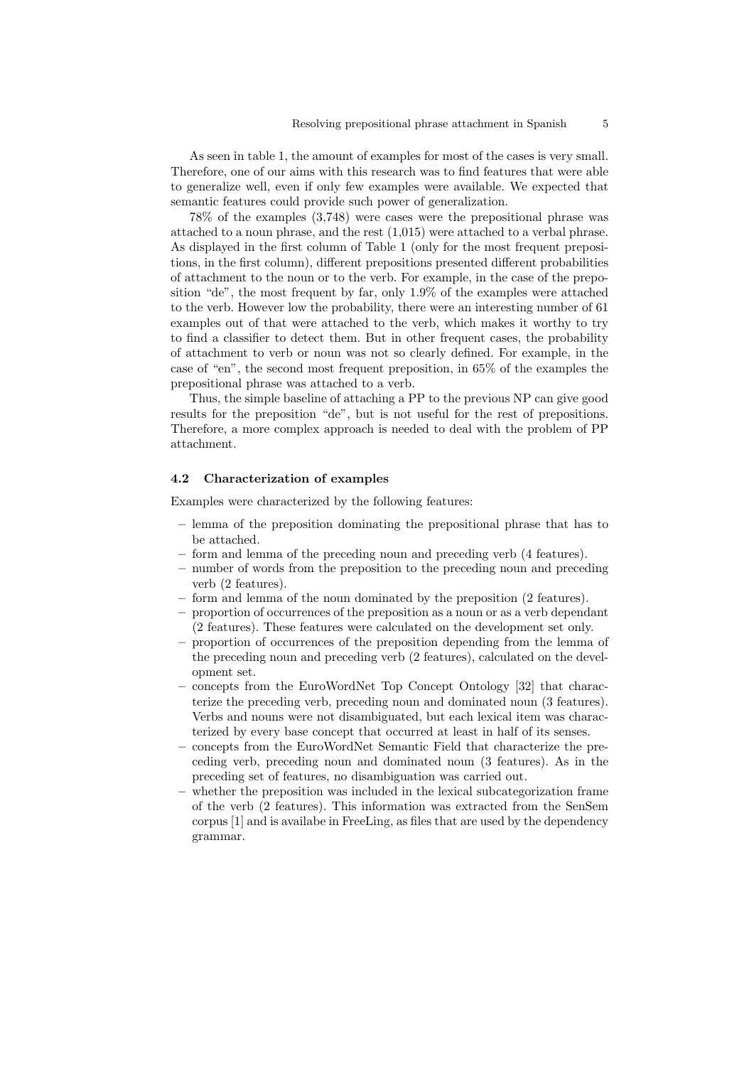As seen in table 1, the amount of examples for most of the cases is very small. Therefore, one of our aims with this research was to find features that were able to generalize well, even if only few examples were available. We expected that semantic features could provide such power of generalization.

78% of the examples (3,748) were cases were the prepositional phrase was attached to a noun phrase, and the rest (1,015) were attached to a verbal phrase. As displayed in the first column of Table 1 (only for the most frequent prepositions, in the first column), different prepositions presented different probabilities of attachment to the noun or to the verb. For example, in the case of the preposition "de", the most frequent by far, only 1.9% of the examples were attached to the verb. However low the probability, there were an interesting number of 61 examples out of that were attached to the verb, which makes it worthy to try to find a classifier to detect them. But in other frequent cases, the probability of attachment to verb or noun was not so clearly defined. For example, in the case of "en", the second most frequent preposition, in 65% of the examples the prepositional phrase was attached to a verb.

Thus, the simple baseline of attaching a PP to the previous NP can give good results for the preposition "de", but is not useful for the rest of prepositions. Therefore, a more complex approach is needed to deal with the problem of PP attachment.

#### 4.2 Characterization of examples

Examples were characterized by the following features:

- lemma of the preposition dominating the prepositional phrase that has to be attached.
- form and lemma of the preceding noun and preceding verb (4 features).
- number of words from the preposition to the preceding noun and preceding verb (2 features).
- form and lemma of the noun dominated by the preposition (2 features).
- proportion of occurrences of the preposition as a noun or as a verb dependant (2 features). These features were calculated on the development set only.
- proportion of occurrences of the preposition depending from the lemma of the preceding noun and preceding verb (2 features), calculated on the development set.
- concepts from the EuroWordNet Top Concept Ontology [32] that characterize the preceding verb, preceding noun and dominated noun (3 features). Verbs and nouns were not disambiguated, but each lexical item was characterized by every base concept that occurred at least in half of its senses.
- concepts from the EuroWordNet Semantic Field that characterize the preceding verb, preceding noun and dominated noun (3 features). As in the preceding set of features, no disambiguation was carried out.
- whether the preposition was included in the lexical subcategorization frame of the verb (2 features). This information was extracted from the SenSem corpus [1] and is availabe in FreeLing, as files that are used by the dependency grammar.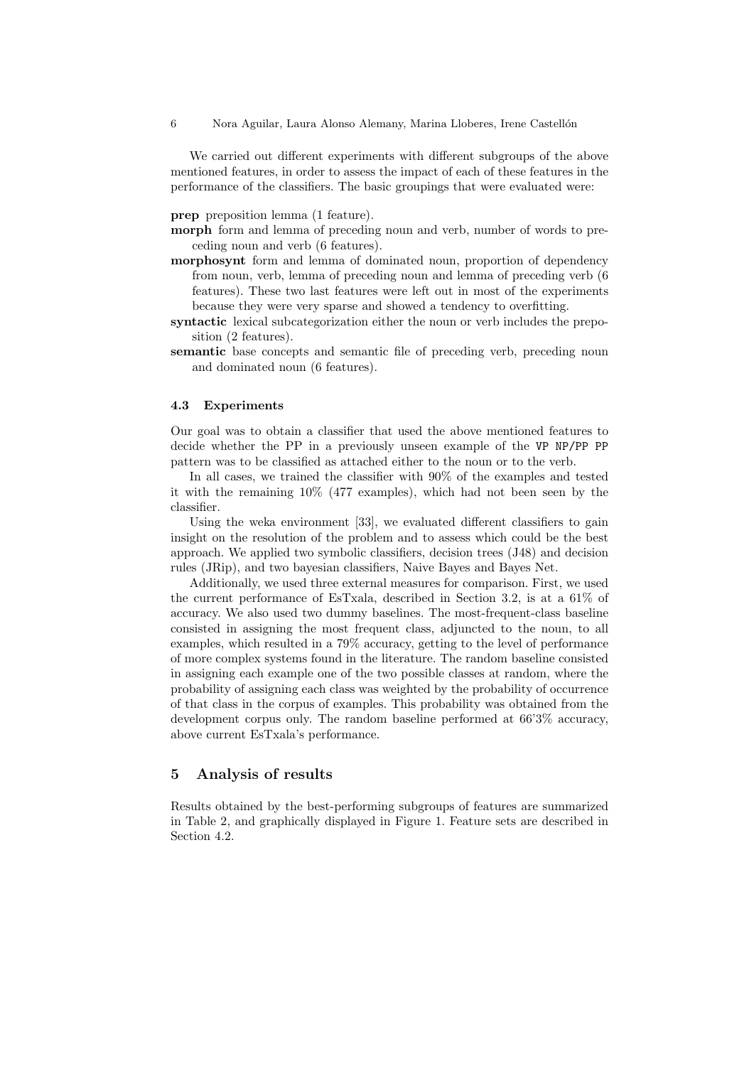We carried out different experiments with different subgroups of the above mentioned features, in order to assess the impact of each of these features in the performance of the classifiers. The basic groupings that were evaluated were:

prep preposition lemma (1 feature).

- morph form and lemma of preceding noun and verb, number of words to preceding noun and verb (6 features).
- morphosynt form and lemma of dominated noun, proportion of dependency from noun, verb, lemma of preceding noun and lemma of preceding verb (6 features). These two last features were left out in most of the experiments because they were very sparse and showed a tendency to overfitting.
- syntactic lexical subcategorization either the noun or verb includes the preposition (2 features).
- semantic base concepts and semantic file of preceding verb, preceding noun and dominated noun (6 features).

#### 4.3 Experiments

Our goal was to obtain a classifier that used the above mentioned features to decide whether the PP in a previously unseen example of the VP NP/PP PP pattern was to be classified as attached either to the noun or to the verb.

In all cases, we trained the classifier with 90% of the examples and tested it with the remaining 10% (477 examples), which had not been seen by the classifier.

Using the weka environment [33], we evaluated different classifiers to gain insight on the resolution of the problem and to assess which could be the best approach. We applied two symbolic classifiers, decision trees (J48) and decision rules (JRip), and two bayesian classifiers, Naive Bayes and Bayes Net.

Additionally, we used three external measures for comparison. First, we used the current performance of EsTxala, described in Section 3.2, is at a 61% of accuracy. We also used two dummy baselines. The most-frequent-class baseline consisted in assigning the most frequent class, adjuncted to the noun, to all examples, which resulted in a 79% accuracy, getting to the level of performance of more complex systems found in the literature. The random baseline consisted in assigning each example one of the two possible classes at random, where the probability of assigning each class was weighted by the probability of occurrence of that class in the corpus of examples. This probability was obtained from the development corpus only. The random baseline performed at 66'3% accuracy, above current EsTxala's performance.

## 5 Analysis of results

Results obtained by the best-performing subgroups of features are summarized in Table 2, and graphically displayed in Figure 1. Feature sets are described in Section 4.2.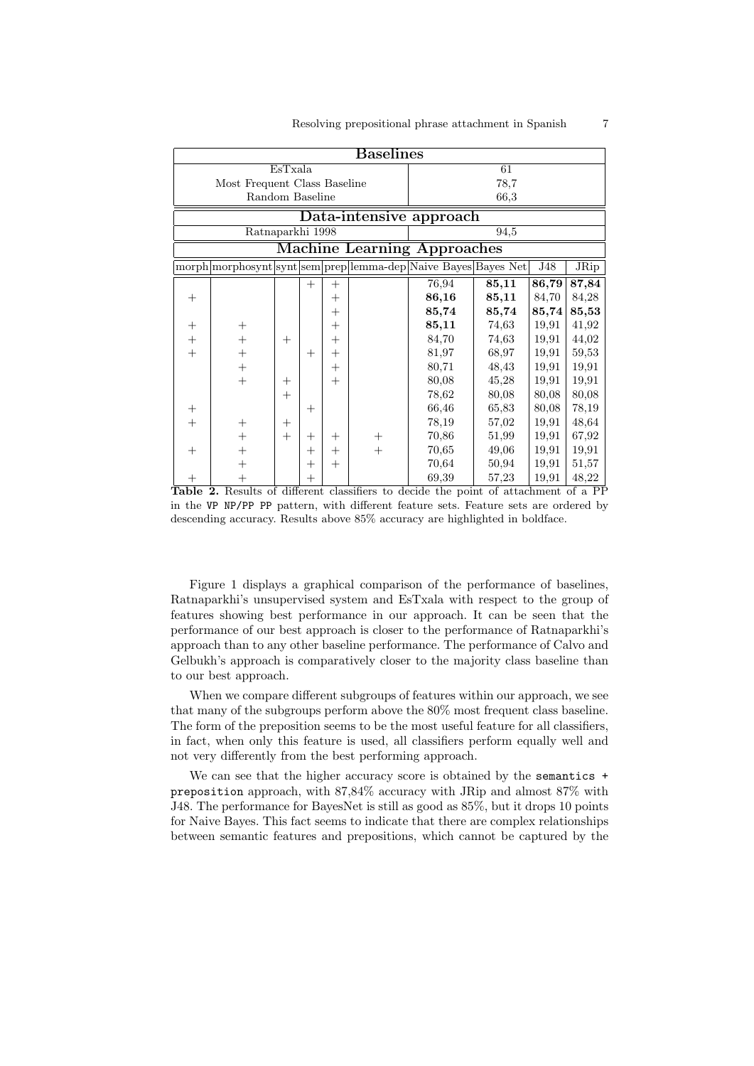| <b>Baselines</b>             |                                  |        |                    |        |        |                                                                |       |       |             |  |  |
|------------------------------|----------------------------------|--------|--------------------|--------|--------|----------------------------------------------------------------|-------|-------|-------------|--|--|
| EsTxala                      |                                  |        |                    |        | 61     |                                                                |       |       |             |  |  |
| Most Frequent Class Baseline |                                  |        |                    |        | 78,7   |                                                                |       |       |             |  |  |
| Random Baseline              |                                  |        |                    |        | 66,3   |                                                                |       |       |             |  |  |
| Data-intensive approach      |                                  |        |                    |        |        |                                                                |       |       |             |  |  |
| Ratnaparkhi 1998             |                                  |        |                    |        | 94,5   |                                                                |       |       |             |  |  |
| Machine Learning Approaches  |                                  |        |                    |        |        |                                                                |       |       |             |  |  |
|                              |                                  |        |                    |        |        | morph morphosynt synt sem prep lemma-dep Naive Bayes Bayes Net |       | J48   | <b>JRip</b> |  |  |
|                              |                                  |        | $^{+}$             | $^{+}$ |        | 76,94                                                          | 85,11 | 86,79 | 87,84       |  |  |
| $^{+}$                       |                                  |        |                    | $^{+}$ |        | 86,16                                                          | 85,11 | 84,70 | 84,28       |  |  |
|                              |                                  |        |                    | $^{+}$ |        | 85,74                                                          | 85,74 | 85,74 | 85,53       |  |  |
| $\hspace{0.1mm} +$           | $^{+}$                           |        |                    | $^{+}$ |        | 85,11                                                          | 74,63 | 19,91 | 41,92       |  |  |
| $^{+}$                       | $^{+}$                           | $^{+}$ |                    | $^{+}$ |        | 84,70                                                          | 74,63 | 19,91 | 44,02       |  |  |
| $^{+}$                       | $^{+}$                           |        | $^{+}$             | $^{+}$ |        | 81,97                                                          | 68,97 | 19,91 | 59,53       |  |  |
|                              | $^{+}$                           |        |                    | $^{+}$ |        | 80,71                                                          | 48,43 | 19,91 | 19,91       |  |  |
|                              | $^{+}$                           | $^{+}$ |                    | $^{+}$ |        | 80,08                                                          | 45,28 | 19,91 | 19,91       |  |  |
|                              |                                  | $^{+}$ |                    |        |        | 78,62                                                          | 80,08 | 80,08 | 80,08       |  |  |
| $^{+}$                       |                                  |        | $^{+}$             |        |        | 66,46                                                          | 65,83 | 80,08 | 78,19       |  |  |
| $^{+}$                       | $^{+}$                           | $^{+}$ |                    |        |        | 78,19                                                          | 57,02 | 19,91 | 48,64       |  |  |
|                              | $^{+}$                           | $^{+}$ | $^+$               | $^{+}$ | $^{+}$ | 70,86                                                          | 51,99 | 19,91 | 67,92       |  |  |
| $^{+}$                       | $^+$                             |        | $^{+}$             | $^{+}$ | $^{+}$ | 70,65                                                          | 49,06 | 19,91 | 19,91       |  |  |
|                              | $\hspace{0.1mm} +\hspace{0.1mm}$ |        | $^{+}$             | $^{+}$ |        | 70,64                                                          | 50,94 | 19,91 | 51,57       |  |  |
| $\hspace{0.1mm} +$           | $^{+}$                           |        | $\hspace{0.1mm} +$ |        |        | 69,39                                                          | 57,23 | 19,91 | 48,22       |  |  |

Table 2. Results of different classifiers to decide the point of attachment of a PP in the VP NP/PP PP pattern, with different feature sets. Feature sets are ordered by descending accuracy. Results above 85% accuracy are highlighted in boldface.

Figure 1 displays a graphical comparison of the performance of baselines, Ratnaparkhi's unsupervised system and EsTxala with respect to the group of features showing best performance in our approach. It can be seen that the performance of our best approach is closer to the performance of Ratnaparkhi's approach than to any other baseline performance. The performance of Calvo and Gelbukh's approach is comparatively closer to the majority class baseline than to our best approach.

When we compare different subgroups of features within our approach, we see that many of the subgroups perform above the 80% most frequent class baseline. The form of the preposition seems to be the most useful feature for all classifiers, in fact, when only this feature is used, all classifiers perform equally well and not very differently from the best performing approach.

We can see that the higher accuracy score is obtained by the semantics  $+$ preposition approach, with 87,84% accuracy with JRip and almost 87% with J48. The performance for BayesNet is still as good as 85%, but it drops 10 points for Naive Bayes. This fact seems to indicate that there are complex relationships between semantic features and prepositions, which cannot be captured by the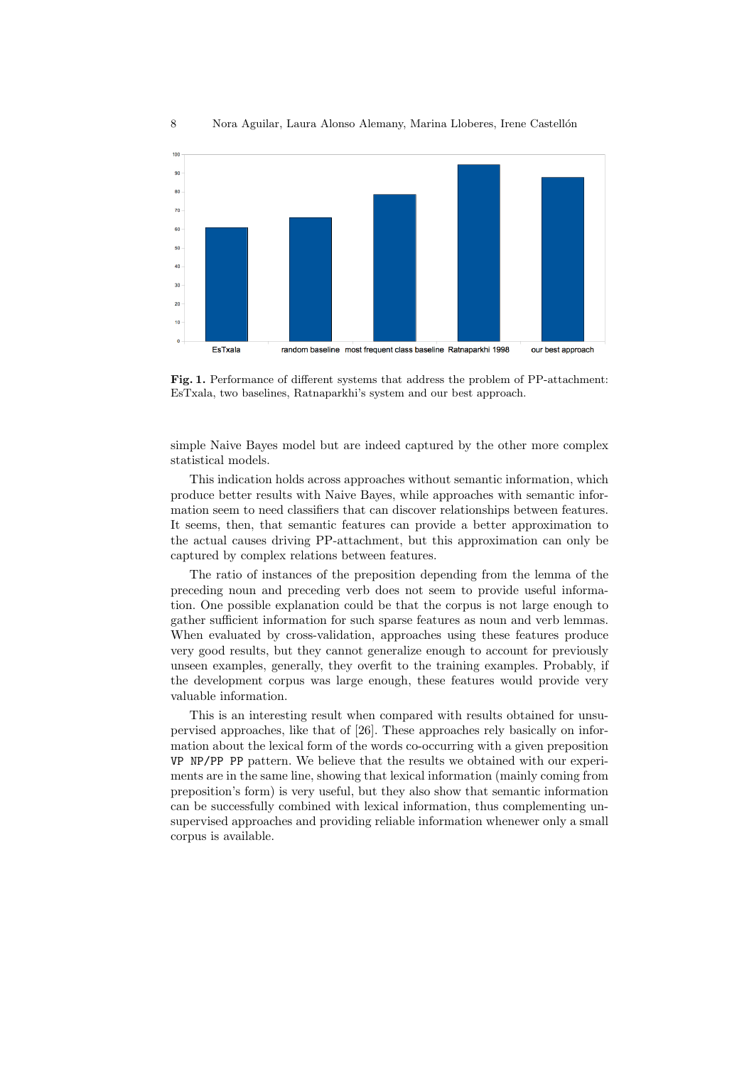

Fig. 1. Performance of different systems that address the problem of PP-attachment: EsTxala, two baselines, Ratnaparkhi's system and our best approach.

simple Naive Bayes model but are indeed captured by the other more complex statistical models.

This indication holds across approaches without semantic information, which produce better results with Naive Bayes, while approaches with semantic information seem to need classifiers that can discover relationships between features. It seems, then, that semantic features can provide a better approximation to the actual causes driving PP-attachment, but this approximation can only be captured by complex relations between features.

The ratio of instances of the preposition depending from the lemma of the preceding noun and preceding verb does not seem to provide useful information. One possible explanation could be that the corpus is not large enough to gather sufficient information for such sparse features as noun and verb lemmas. When evaluated by cross-validation, approaches using these features produce very good results, but they cannot generalize enough to account for previously unseen examples, generally, they overfit to the training examples. Probably, if the development corpus was large enough, these features would provide very valuable information.

This is an interesting result when compared with results obtained for unsupervised approaches, like that of [26]. These approaches rely basically on information about the lexical form of the words co-occurring with a given preposition VP NP/PP PP pattern. We believe that the results we obtained with our experiments are in the same line, showing that lexical information (mainly coming from preposition's form) is very useful, but they also show that semantic information can be successfully combined with lexical information, thus complementing unsupervised approaches and providing reliable information whenewer only a small corpus is available.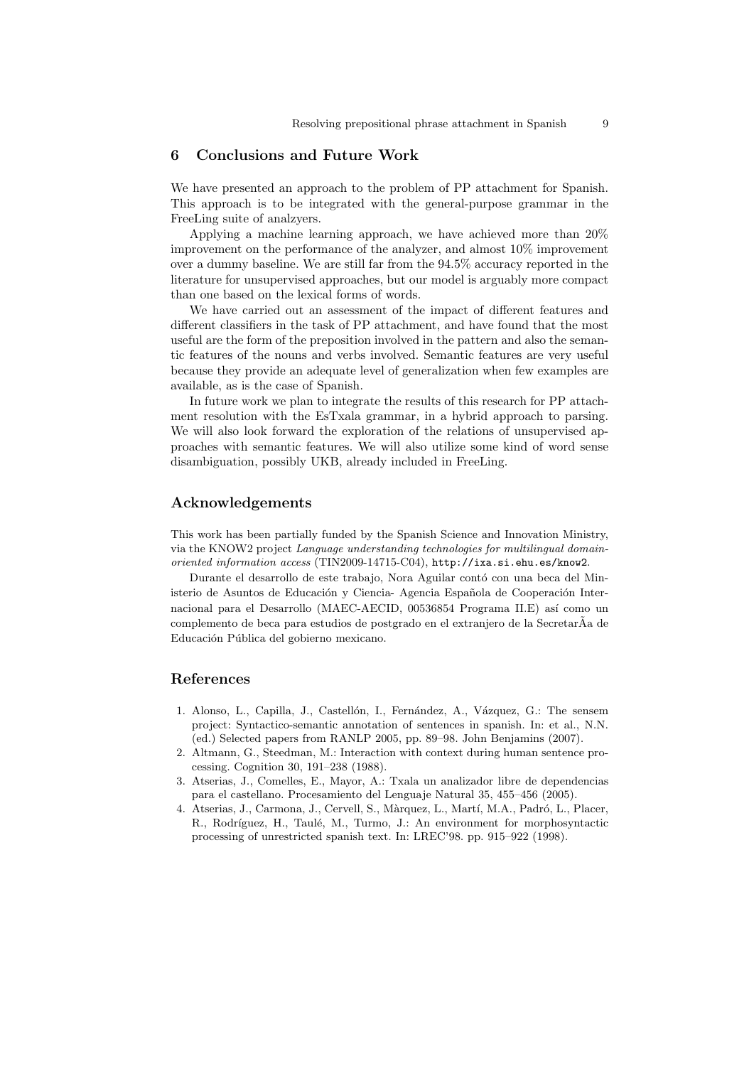### 6 Conclusions and Future Work

We have presented an approach to the problem of PP attachment for Spanish. This approach is to be integrated with the general-purpose grammar in the FreeLing suite of analzyers.

Applying a machine learning approach, we have achieved more than 20% improvement on the performance of the analyzer, and almost 10% improvement over a dummy baseline. We are still far from the 94.5% accuracy reported in the literature for unsupervised approaches, but our model is arguably more compact than one based on the lexical forms of words.

We have carried out an assessment of the impact of different features and different classifiers in the task of PP attachment, and have found that the most useful are the form of the preposition involved in the pattern and also the semantic features of the nouns and verbs involved. Semantic features are very useful because they provide an adequate level of generalization when few examples are available, as is the case of Spanish.

In future work we plan to integrate the results of this research for PP attachment resolution with the EsTxala grammar, in a hybrid approach to parsing. We will also look forward the exploration of the relations of unsupervised approaches with semantic features. We will also utilize some kind of word sense disambiguation, possibly UKB, already included in FreeLing.

#### Acknowledgements

This work has been partially funded by the Spanish Science and Innovation Ministry, via the KNOW2 project Language understanding technologies for multilingual domainoriented information access (TIN2009-14715-C04), http://ixa.si.ehu.es/know2.

Durante el desarrollo de este trabajo, Nora Aguilar contó con una beca del Ministerio de Asuntos de Educación y Ciencia- Agencia Española de Cooperación Internacional para el Desarrollo (MAEC-AECID, 00536854 Programa II.E) así como un complemento de beca para estudios de postgrado en el extranjero de la SecretarAa de Educación Pública del gobierno mexicano.

### References

- 1. Alonso, L., Capilla, J., Castellón, I., Fernández, A., Vázquez, G.: The sensem project: Syntactico-semantic annotation of sentences in spanish. In: et al., N.N. (ed.) Selected papers from RANLP 2005, pp. 89–98. John Benjamins (2007).
- 2. Altmann, G., Steedman, M.: Interaction with context during human sentence processing. Cognition 30, 191–238 (1988).
- 3. Atserias, J., Comelles, E., Mayor, A.: Txala un analizador libre de dependencias para el castellano. Procesamiento del Lenguaje Natural 35, 455–456 (2005).
- 4. Atserias, J., Carmona, J., Cervell, S., Màrquez, L., Martí, M.A., Padró, L., Placer, R., Rodríguez, H., Taulé, M., Turmo, J.: An environment for morphosyntactic processing of unrestricted spanish text. In: LREC'98. pp. 915–922 (1998).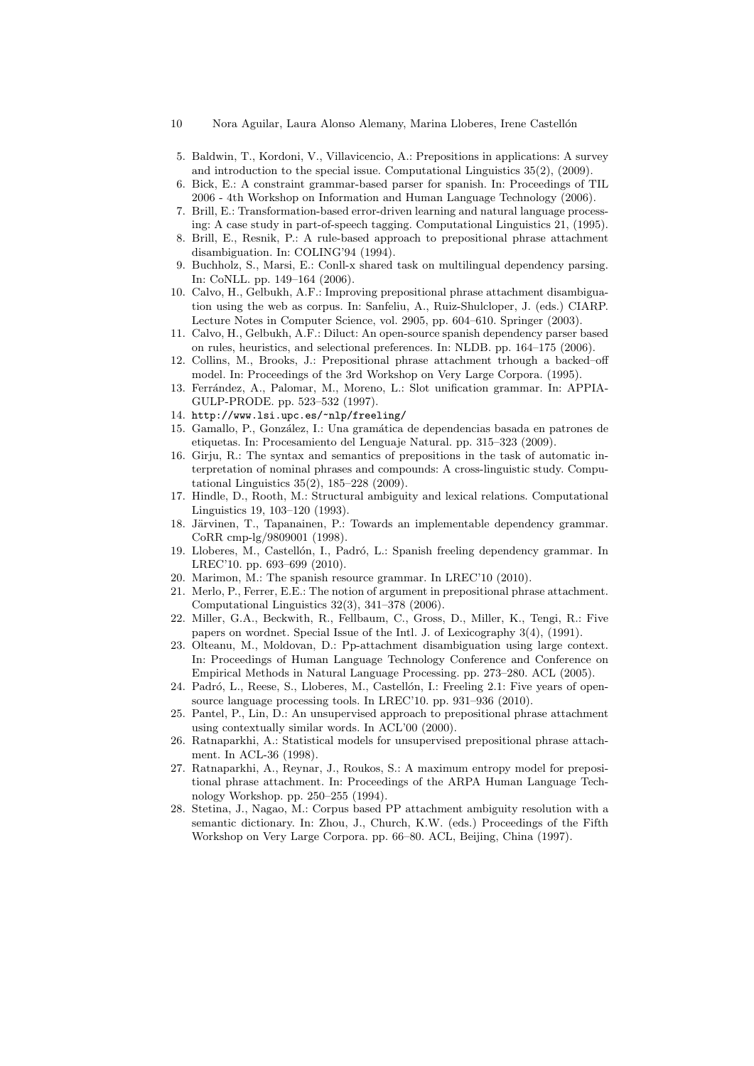- 10 Nora Aguilar, Laura Alonso Alemany, Marina Lloberes, Irene Castellón
- 5. Baldwin, T., Kordoni, V., Villavicencio, A.: Prepositions in applications: A survey and introduction to the special issue. Computational Linguistics 35(2), (2009).
- 6. Bick, E.: A constraint grammar-based parser for spanish. In: Proceedings of TIL 2006 - 4th Workshop on Information and Human Language Technology (2006).
- 7. Brill, E.: Transformation-based error-driven learning and natural language processing: A case study in part-of-speech tagging. Computational Linguistics 21, (1995).
- 8. Brill, E., Resnik, P.: A rule-based approach to prepositional phrase attachment disambiguation. In: COLING'94 (1994).
- 9. Buchholz, S., Marsi, E.: Conll-x shared task on multilingual dependency parsing. In: CoNLL. pp. 149–164 (2006).
- 10. Calvo, H., Gelbukh, A.F.: Improving prepositional phrase attachment disambiguation using the web as corpus. In: Sanfeliu, A., Ruiz-Shulcloper, J. (eds.) CIARP. Lecture Notes in Computer Science, vol. 2905, pp. 604–610. Springer (2003).
- 11. Calvo, H., Gelbukh, A.F.: Diluct: An open-source spanish dependency parser based on rules, heuristics, and selectional preferences. In: NLDB. pp. 164–175 (2006).
- 12. Collins, M., Brooks, J.: Prepositional phrase attachment trhough a backed–off model. In: Proceedings of the 3rd Workshop on Very Large Corpora. (1995).
- 13. Ferrández, A., Palomar, M., Moreno, L.: Slot unification grammar. In: APPIA-GULP-PRODE. pp. 523–532 (1997).
- 14. http://www.lsi.upc.es/~nlp/freeling/
- 15. Gamallo, P., Gonz´alez, I.: Una gram´atica de dependencias basada en patrones de etiquetas. In: Procesamiento del Lenguaje Natural. pp. 315–323 (2009).
- 16. Girju, R.: The syntax and semantics of prepositions in the task of automatic interpretation of nominal phrases and compounds: A cross-linguistic study. Computational Linguistics 35(2), 185–228 (2009).
- 17. Hindle, D., Rooth, M.: Structural ambiguity and lexical relations. Computational Linguistics 19, 103–120 (1993).
- 18. Järvinen, T., Tapanainen, P.: Towards an implementable dependency grammar. CoRR cmp-lg/9809001 (1998).
- 19. Lloberes, M., Castell´on, I., Padr´o, L.: Spanish freeling dependency grammar. In LREC'10. pp. 693–699 (2010).
- 20. Marimon, M.: The spanish resource grammar. In LREC'10 (2010).
- 21. Merlo, P., Ferrer, E.E.: The notion of argument in prepositional phrase attachment. Computational Linguistics 32(3), 341–378 (2006).
- 22. Miller, G.A., Beckwith, R., Fellbaum, C., Gross, D., Miller, K., Tengi, R.: Five papers on wordnet. Special Issue of the Intl. J. of Lexicography 3(4), (1991).
- 23. Olteanu, M., Moldovan, D.: Pp-attachment disambiguation using large context. In: Proceedings of Human Language Technology Conference and Conference on Empirical Methods in Natural Language Processing. pp. 273–280. ACL (2005).
- 24. Padró, L., Reese, S., Lloberes, M., Castellón, I.: Freeling 2.1: Five years of opensource language processing tools. In LREC'10. pp. 931–936 (2010).
- 25. Pantel, P., Lin, D.: An unsupervised approach to prepositional phrase attachment using contextually similar words. In ACL'00 (2000).
- 26. Ratnaparkhi, A.: Statistical models for unsupervised prepositional phrase attachment. In ACL-36 (1998).
- 27. Ratnaparkhi, A., Reynar, J., Roukos, S.: A maximum entropy model for prepositional phrase attachment. In: Proceedings of the ARPA Human Language Technology Workshop. pp. 250–255 (1994).
- 28. Stetina, J., Nagao, M.: Corpus based PP attachment ambiguity resolution with a semantic dictionary. In: Zhou, J., Church, K.W. (eds.) Proceedings of the Fifth Workshop on Very Large Corpora. pp. 66–80. ACL, Beijing, China (1997).